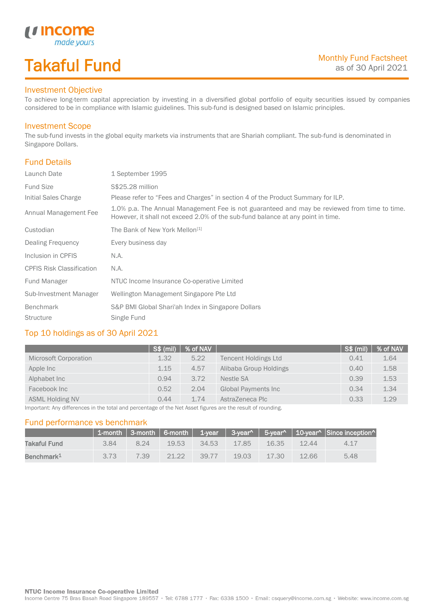# Takaful Fund

made your:

### Investment Objective

*u* Income

To achieve long-term capital appreciation by investing in a diversified global portfolio of equity securities issued by companies considered to be in compliance with Islamic guidelines. This sub-fund is designed based on Islamic principles.

#### Investment Scope

The sub-fund invests in the global equity markets via instruments that are Shariah compliant. The sub-fund is denominated in Singapore Dollars.

### Fund Details

I

| Launch Date                      | 1 September 1995                                                                                                                                                                |  |
|----------------------------------|---------------------------------------------------------------------------------------------------------------------------------------------------------------------------------|--|
| <b>Fund Size</b>                 | S\$25.28 million                                                                                                                                                                |  |
| Initial Sales Charge             | Please refer to "Fees and Charges" in section 4 of the Product Summary for ILP.                                                                                                 |  |
| Annual Management Fee            | 1.0% p.a. The Annual Management Fee is not guaranteed and may be reviewed from time to time.<br>However, it shall not exceed 2.0% of the sub-fund balance at any point in time. |  |
| Custodian                        | The Bank of New York Mellon <sup>[1]</sup>                                                                                                                                      |  |
| Dealing Frequency                | Every business day                                                                                                                                                              |  |
| Inclusion in CPFIS               | N.A.                                                                                                                                                                            |  |
| <b>CPFIS Risk Classification</b> | N.A.                                                                                                                                                                            |  |
| Fund Manager                     | NTUC Income Insurance Co-operative Limited                                                                                                                                      |  |
| Sub-Investment Manager           | Wellington Management Singapore Pte Ltd                                                                                                                                         |  |
| <b>Benchmark</b>                 | S&P BMI Global Shari'ah Index in Singapore Dollars                                                                                                                              |  |
| <b>Structure</b>                 | Single Fund                                                                                                                                                                     |  |

#### Top 10 holdings as of 30 April 2021

| 1.64 |
|------|
| 1.58 |
| 1.53 |
| 1.34 |
| 1.29 |
|      |

Important: Any differences in the total and percentage of the Net Asset figures are the result of rounding.

#### Fund performance vs benchmark

|                        |      |      |       |       |       |       |       | 1-month   3-month   6-month   1-year   3-year^   5-year^   10-year^   Since inception^ |
|------------------------|------|------|-------|-------|-------|-------|-------|----------------------------------------------------------------------------------------|
| Takaful Fund           | 3.84 | 8.24 | 19.53 | 34.53 | 17.85 | 16.35 | 12.44 | 4 1 7                                                                                  |
| Benchmark <sup>1</sup> | 3.73 | 7.39 | 21.22 | 39.77 | 19.03 | 17.30 | 12.66 | 5.48                                                                                   |

Income Centre 75 Bras Basah Road Singapore 189557 · Tel: 6788 1777 · Fax: 6338 1500 · Email: csquery@income.com.sg · Website: www.income.com.sg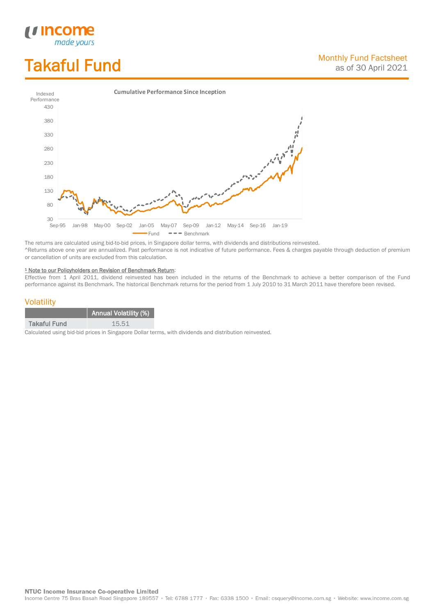# Takaful Fund

*<u>Income</u>*<br>made yours

I



The returns are calculated using bid-to-bid prices, in Singapore dollar terms, with dividends and distributions reinvested. ^Returns above one year are annualized. Past performance is not indicative of future performance. Fees & charges payable through deduction of premium or cancellation of units are excluded from this calculation.

#### <sup>1</sup> Note to our Policyholders on Revision of Benchmark Return:

Effective from 1 April 2011, dividend reinvested has been included in the returns of the Benchmark to achieve a better comparison of the Fund performance against its Benchmark. The historical Benchmark returns for the period from 1 July 2010 to 31 March 2011 have therefore been revised.

#### **Volatility**

|                     | <b>Annual Volatility (%)</b> |
|---------------------|------------------------------|
| <b>Takaful Fund</b> | 15.51                        |

Calculated using bid-bid prices in Singapore Dollar terms, with dividends and distribution reinvested.

**NTUC Income Insurance Co-operative Limited** 

Income Centre 75 Bras Basah Road Singapore 189557 · Tel: 6788 1777 · Fax: 6338 1500 · Email: csquery@income.com.sg · Website: www.income.com.sg